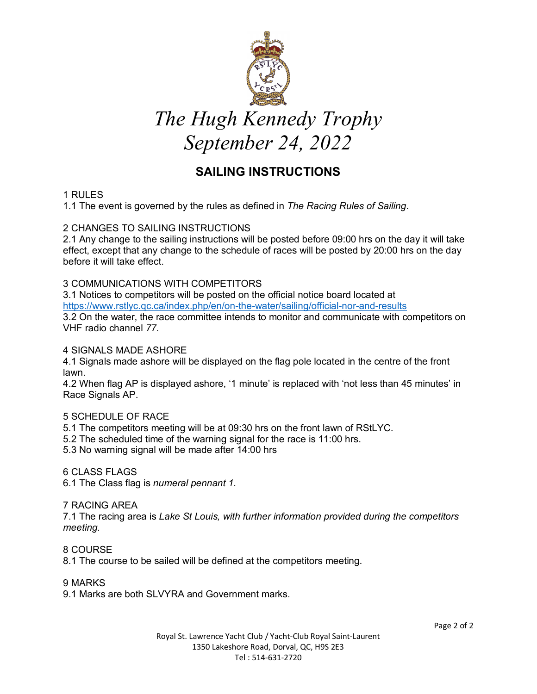

# *The Hugh Kennedy Trophy September 24, 2022*

# **SAILING INSTRUCTIONS**

# 1 RULES

1.1 The event is governed by the rules as defined in *The Racing Rules of Sailing*.

# 2 CHANGES TO SAILING INSTRUCTIONS

2.1 Any change to the sailing instructions will be posted before 09:00 hrs on the day it will take effect, except that any change to the schedule of races will be posted by 20:00 hrs on the day before it will take effect.

# 3 COMMUNICATIONS WITH COMPETITORS

3.1 Notices to competitors will be posted on the official notice board located at https://www.rstlyc.qc.ca/index.php/en/on-the-water/sailing/official-nor-and-results 3.2 On the water, the race committee intends to monitor and communicate with competitors on VHF radio channel *77.* 

### 4 SIGNALS MADE ASHORE

4.1 Signals made ashore will be displayed on the flag pole located in the centre of the front lawn.

4.2 When flag AP is displayed ashore, '1 minute' is replaced with 'not less than 45 minutes' in Race Signals AP.

# 5 SCHEDULE OF RACE

5.1 The competitors meeting will be at 09:30 hrs on the front lawn of RStLYC.

- 5.2 The scheduled time of the warning signal for the race is 11:00 hrs.
- 5.3 No warning signal will be made after 14:00 hrs

#### 6 CLASS FLAGS

6.1 The Class flag is *numeral pennant 1.* 

#### 7 RACING AREA

7.1 The racing area is *Lake St Louis, with further information provided during the competitors meeting.*

8 COURSE

8.1 The course to be sailed will be defined at the competitors meeting.

#### 9 MARKS

9.1 Marks are both SLVYRA and Government marks.